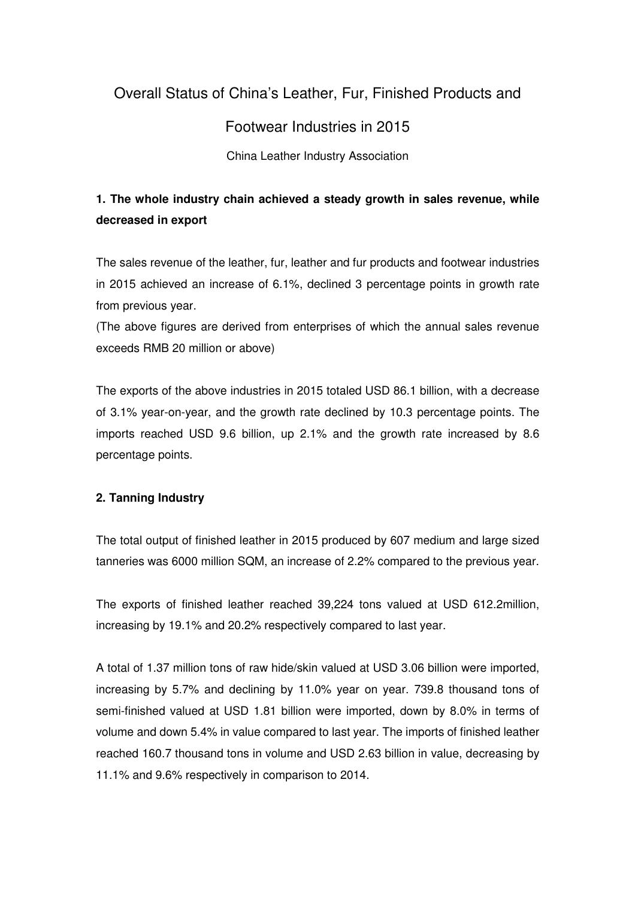# Overall Status of China's Leather, Fur, Finished Products and

## Footwear Industries in 2015

China Leather Industry Association

## **1. The whole industry chain achieved a steady growth in sales revenue, while decreased in export**

The sales revenue of the leather, fur, leather and fur products and footwear industries in 2015 achieved an increase of 6.1%, declined 3 percentage points in growth rate from previous year.

(The above figures are derived from enterprises of which the annual sales revenue exceeds RMB 20 million or above)

The exports of the above industries in 2015 totaled USD 86.1 billion, with a decrease of 3.1% year-on-year, and the growth rate declined by 10.3 percentage points. The imports reached USD 9.6 billion, up 2.1% and the growth rate increased by 8.6 percentage points.

## **2. Tanning Industry**

The total output of finished leather in 2015 produced by 607 medium and large sized tanneries was 6000 million SQM, an increase of 2.2% compared to the previous year.

The exports of finished leather reached 39,224 tons valued at USD 612.2million, increasing by 19.1% and 20.2% respectively compared to last year.

A total of 1.37 million tons of raw hide/skin valued at USD 3.06 billion were imported, increasing by 5.7% and declining by 11.0% year on year. 739.8 thousand tons of semi-finished valued at USD 1.81 billion were imported, down by 8.0% in terms of volume and down 5.4% in value compared to last year. The imports of finished leather reached 160.7 thousand tons in volume and USD 2.63 billion in value, decreasing by 11.1% and 9.6% respectively in comparison to 2014.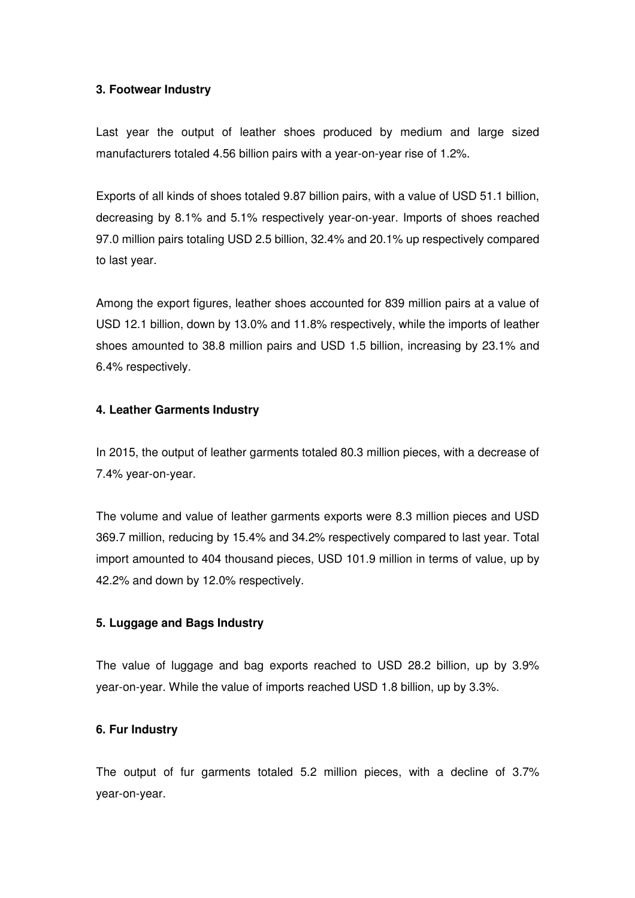#### **3. Footwear Industry**

Last year the output of leather shoes produced by medium and large sized manufacturers totaled 4.56 billion pairs with a year-on-year rise of 1.2%.

Exports of all kinds of shoes totaled 9.87 billion pairs, with a value of USD 51.1 billion, decreasing by 8.1% and 5.1% respectively year-on-year. Imports of shoes reached 97.0 million pairs totaling USD 2.5 billion, 32.4% and 20.1% up respectively compared to last year.

Among the export figures, leather shoes accounted for 839 million pairs at a value of USD 12.1 billion, down by 13.0% and 11.8% respectively, while the imports of leather shoes amounted to 38.8 million pairs and USD 1.5 billion, increasing by 23.1% and 6.4% respectively.

## **4. Leather Garments Industry**

In 2015, the output of leather garments totaled 80.3 million pieces, with a decrease of 7.4% year-on-year.

The volume and value of leather garments exports were 8.3 million pieces and USD 369.7 million, reducing by 15.4% and 34.2% respectively compared to last year. Total import amounted to 404 thousand pieces, USD 101.9 million in terms of value, up by 42.2% and down by 12.0% respectively.

#### **5. Luggage and Bags Industry**

The value of luggage and bag exports reached to USD 28.2 billion, up by 3.9% year-on-year. While the value of imports reached USD 1.8 billion, up by 3.3%.

## **6. Fur Industry**

The output of fur garments totaled 5.2 million pieces, with a decline of 3.7% year-on-year.